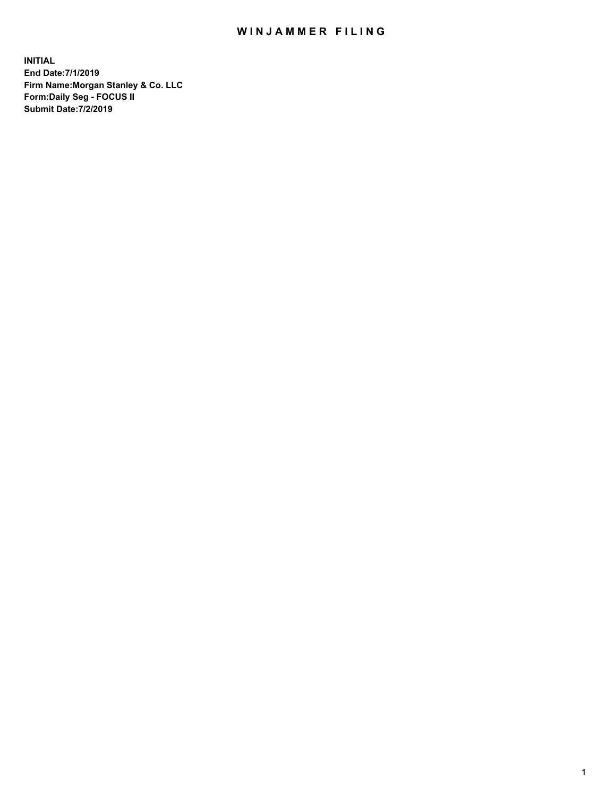## WIN JAMMER FILING

**INITIAL End Date:7/1/2019 Firm Name:Morgan Stanley & Co. LLC Form:Daily Seg - FOCUS II Submit Date:7/2/2019**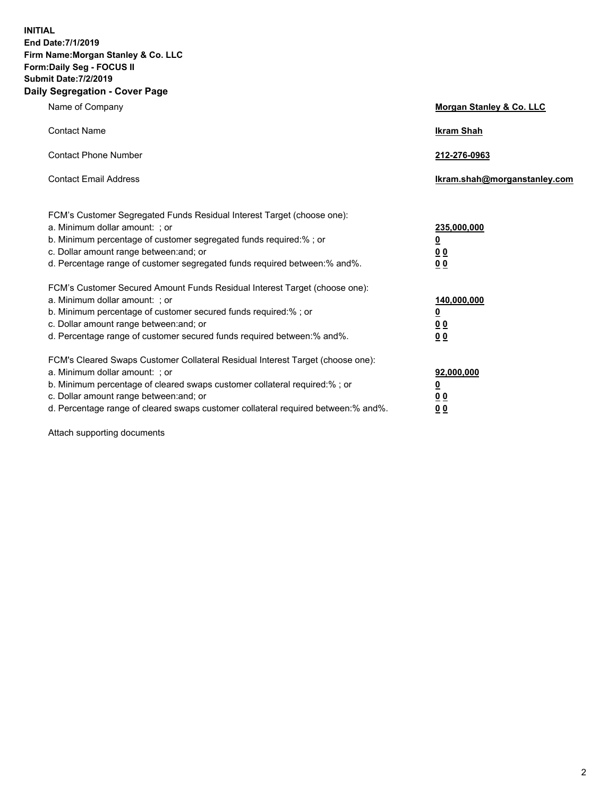**INITIAL End Date:7/1/2019 Firm Name:Morgan Stanley & Co. LLC Form:Daily Seg - FOCUS II Submit Date:7/2/2019 Daily Segregation - Cover Page**

| Name of Company                                                                                                                                                                                                                                                                                                                | Morgan Stanley & Co. LLC                                    |
|--------------------------------------------------------------------------------------------------------------------------------------------------------------------------------------------------------------------------------------------------------------------------------------------------------------------------------|-------------------------------------------------------------|
| <b>Contact Name</b>                                                                                                                                                                                                                                                                                                            | <b>Ikram Shah</b>                                           |
| <b>Contact Phone Number</b>                                                                                                                                                                                                                                                                                                    | 212-276-0963                                                |
| <b>Contact Email Address</b>                                                                                                                                                                                                                                                                                                   | Ikram.shah@morganstanley.com                                |
| FCM's Customer Segregated Funds Residual Interest Target (choose one):<br>a. Minimum dollar amount: ; or<br>b. Minimum percentage of customer segregated funds required:% ; or<br>c. Dollar amount range between: and; or<br>d. Percentage range of customer segregated funds required between:% and%.                         | 235,000,000<br><u>0</u><br>0 <sup>0</sup><br>00             |
| FCM's Customer Secured Amount Funds Residual Interest Target (choose one):<br>a. Minimum dollar amount: ; or<br>b. Minimum percentage of customer secured funds required:%; or<br>c. Dollar amount range between: and; or<br>d. Percentage range of customer secured funds required between:% and%.                            | 140,000,000<br><u>0</u><br>0 <sub>0</sub><br>0 <sub>0</sub> |
| FCM's Cleared Swaps Customer Collateral Residual Interest Target (choose one):<br>a. Minimum dollar amount: ; or<br>b. Minimum percentage of cleared swaps customer collateral required:% ; or<br>c. Dollar amount range between: and; or<br>d. Percentage range of cleared swaps customer collateral required between:% and%. | 92,000,000<br><u>0</u><br><u>00</u><br>00                   |

Attach supporting documents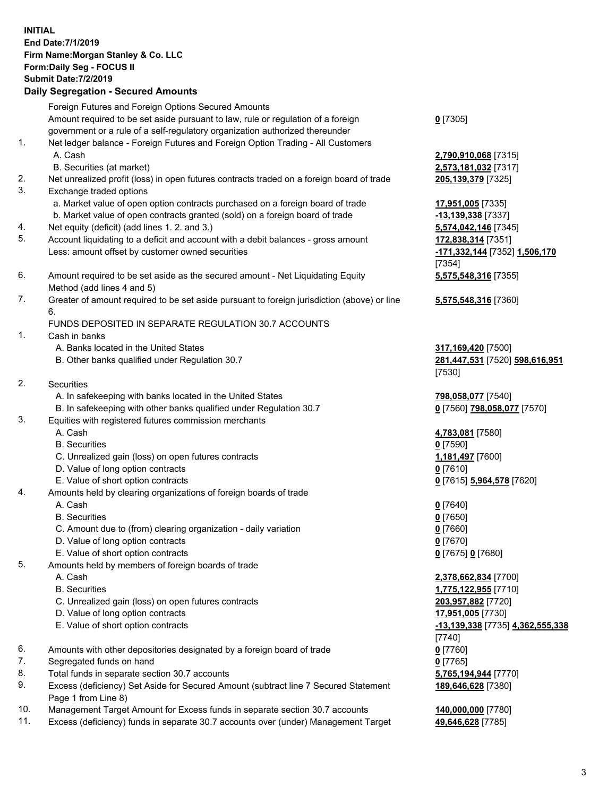| <b>INITIAL</b> | End Date: 7/1/2019<br>Firm Name: Morgan Stanley & Co. LLC<br>Form: Daily Seg - FOCUS II<br><b>Submit Date: 7/2/2019</b><br><b>Daily Segregation - Secured Amounts</b> |                                                      |
|----------------|-----------------------------------------------------------------------------------------------------------------------------------------------------------------------|------------------------------------------------------|
|                | Foreign Futures and Foreign Options Secured Amounts                                                                                                                   |                                                      |
|                | Amount required to be set aside pursuant to law, rule or regulation of a foreign                                                                                      | $0$ [7305]                                           |
| 1.             | government or a rule of a self-regulatory organization authorized thereunder<br>Net ledger balance - Foreign Futures and Foreign Option Trading - All Customers       |                                                      |
|                | A. Cash                                                                                                                                                               | 2,790,910,068 [7315]                                 |
|                | B. Securities (at market)                                                                                                                                             | 2,573,181,032 [7317]                                 |
| 2.             | Net unrealized profit (loss) in open futures contracts traded on a foreign board of trade                                                                             | 205,139,379 [7325]                                   |
| 3.             | Exchange traded options                                                                                                                                               |                                                      |
|                | a. Market value of open option contracts purchased on a foreign board of trade<br>b. Market value of open contracts granted (sold) on a foreign board of trade        | 17,951,005 [7335]<br>-13,139,338 [7337]              |
| 4.             | Net equity (deficit) (add lines 1.2. and 3.)                                                                                                                          | 5,574,042,146 [7345]                                 |
| 5.             | Account liquidating to a deficit and account with a debit balances - gross amount                                                                                     | 172,838,314 [7351]                                   |
|                | Less: amount offset by customer owned securities                                                                                                                      | -171,332,144 [7352] 1,506,170                        |
|                |                                                                                                                                                                       | [7354]                                               |
| 6.             | Amount required to be set aside as the secured amount - Net Liquidating Equity<br>Method (add lines 4 and 5)                                                          | 5,575,548,316 [7355]                                 |
| 7.             | Greater of amount required to be set aside pursuant to foreign jurisdiction (above) or line                                                                           | 5,575,548,316 [7360]                                 |
|                | 6.                                                                                                                                                                    |                                                      |
|                | FUNDS DEPOSITED IN SEPARATE REGULATION 30.7 ACCOUNTS                                                                                                                  |                                                      |
| 1.             | Cash in banks                                                                                                                                                         |                                                      |
|                | A. Banks located in the United States<br>B. Other banks qualified under Regulation 30.7                                                                               | 317,169,420 [7500]<br>281,447,531 [7520] 598,616,951 |
|                |                                                                                                                                                                       | [7530]                                               |
| 2.             | Securities                                                                                                                                                            |                                                      |
|                | A. In safekeeping with banks located in the United States                                                                                                             | 798,058,077 [7540]                                   |
|                | B. In safekeeping with other banks qualified under Regulation 30.7                                                                                                    | 0 [7560] 798,058,077 [7570]                          |
| 3.             | Equities with registered futures commission merchants<br>A. Cash                                                                                                      |                                                      |
|                | <b>B.</b> Securities                                                                                                                                                  | 4,783,081 [7580]<br>$0$ [7590]                       |
|                | C. Unrealized gain (loss) on open futures contracts                                                                                                                   | 1,181,497 [7600]                                     |
|                | D. Value of long option contracts                                                                                                                                     | $0$ [7610]                                           |
|                | E. Value of short option contracts                                                                                                                                    | 0 [7615] 5,964,578 [7620]                            |
| 4.             | Amounts held by clearing organizations of foreign boards of trade                                                                                                     |                                                      |
|                | A. Cash<br><b>B.</b> Securities                                                                                                                                       | $0$ [7640]<br>$0$ [7650]                             |
|                | C. Amount due to (from) clearing organization - daily variation                                                                                                       | $0$ [7660]                                           |
|                | D. Value of long option contracts                                                                                                                                     | $0$ [7670]                                           |
|                | E. Value of short option contracts                                                                                                                                    | 0 [7675] 0 [7680]                                    |
| 5.             | Amounts held by members of foreign boards of trade                                                                                                                    |                                                      |
|                | A. Cash                                                                                                                                                               | 2,378,662,834 [7700]                                 |
|                | <b>B.</b> Securities<br>C. Unrealized gain (loss) on open futures contracts                                                                                           | 1,775,122,955 [7710]                                 |
|                | D. Value of long option contracts                                                                                                                                     | 203,957,882 [7720]<br>17,951,005 [7730]              |
|                | E. Value of short option contracts                                                                                                                                    | <u>-13,139,338</u> [7735] 4,362,555,338              |
|                |                                                                                                                                                                       | [7740]                                               |
| 6.             | Amounts with other depositories designated by a foreign board of trade                                                                                                | $0$ [7760]                                           |
| 7.             | Segregated funds on hand                                                                                                                                              | $0$ [7765]                                           |
| 8.<br>9.       | Total funds in separate section 30.7 accounts<br>Excess (deficiency) Set Aside for Secured Amount (subtract line 7 Secured Statement                                  | 5,765,194,944 [7770]<br>189,646,628 [7380]           |
|                | Page 1 from Line 8)                                                                                                                                                   |                                                      |
|                |                                                                                                                                                                       |                                                      |

- 10. Management Target Amount for Excess funds in separate section 30.7 accounts **140,000,000** [7780]
- 11. Excess (deficiency) funds in separate 30.7 accounts over (under) Management Target **49,646,628** [7785]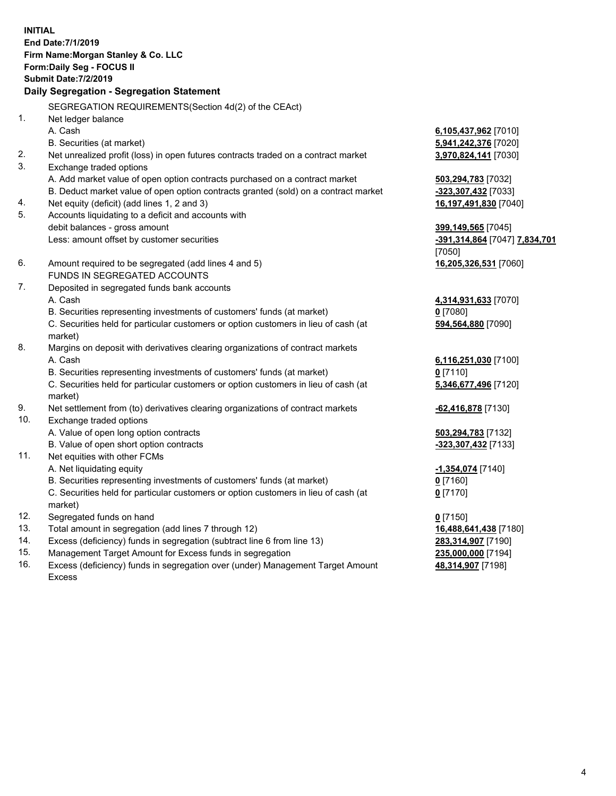**INITIAL End Date:7/1/2019 Firm Name:Morgan Stanley & Co. LLC Form:Daily Seg - FOCUS II Submit Date:7/2/2019 Daily Segregation - Segregation Statement** SEGREGATION REQUIREMENTS(Section 4d(2) of the CEAct) 1. Net ledger balance A. Cash **6,105,437,962** [7010] B. Securities (at market) **5,941,242,376** [7020] 2. Net unrealized profit (loss) in open futures contracts traded on a contract market **3,970,824,141** [7030] 3. Exchange traded options A. Add market value of open option contracts purchased on a contract market **503,294,783** [7032] B. Deduct market value of open option contracts granted (sold) on a contract market **-323,307,432** [7033] 4. Net equity (deficit) (add lines 1, 2 and 3) **16,197,491,830** [7040] 5. Accounts liquidating to a deficit and accounts with debit balances - gross amount **399,149,565** [7045] Less: amount offset by customer securities **-391,314,864** [7047] **7,834,701** [7050] 6. Amount required to be segregated (add lines 4 and 5) **16,205,326,531** [7060] FUNDS IN SEGREGATED ACCOUNTS 7. Deposited in segregated funds bank accounts A. Cash **4,314,931,633** [7070] B. Securities representing investments of customers' funds (at market) **0** [7080] C. Securities held for particular customers or option customers in lieu of cash (at market) **594,564,880** [7090] 8. Margins on deposit with derivatives clearing organizations of contract markets A. Cash **6,116,251,030** [7100] B. Securities representing investments of customers' funds (at market) **0** [7110] C. Securities held for particular customers or option customers in lieu of cash (at market) **5,346,677,496** [7120] 9. Net settlement from (to) derivatives clearing organizations of contract markets **-62,416,878** [7130] 10. Exchange traded options A. Value of open long option contracts **503,294,783** [7132] B. Value of open short option contracts **-323,307,432** [7133] 11. Net equities with other FCMs A. Net liquidating equity **-1,354,074** [7140] B. Securities representing investments of customers' funds (at market) **0** [7160] C. Securities held for particular customers or option customers in lieu of cash (at market) **0** [7170] 12. Segregated funds on hand **0** [7150] 13. Total amount in segregation (add lines 7 through 12) **16,488,641,438** [7180] 14. Excess (deficiency) funds in segregation (subtract line 6 from line 13) **283,314,907** [7190] 15. Management Target Amount for Excess funds in segregation **235,000,000** [7194]

16. Excess (deficiency) funds in segregation over (under) Management Target Amount Excess

**48,314,907** [7198]